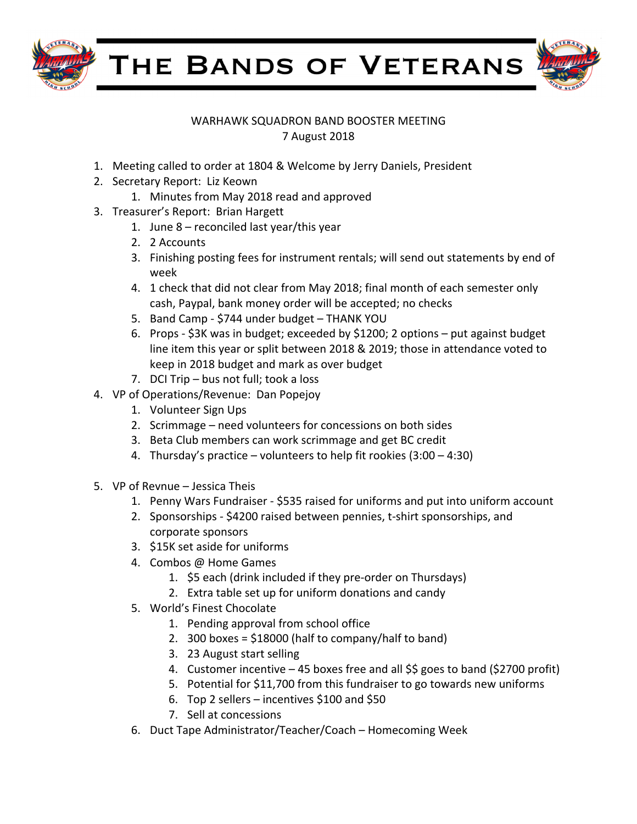

THE BANDS OF VETERANS



## WARHAWK SQUADRON BAND BOOSTER MEETING 7 August 2018

- 1. Meeting called to order at 1804 & Welcome by Jerry Daniels, President
- 2. Secretary Report: Liz Keown
	- 1. Minutes from May 2018 read and approved
- 3. Treasurer's Report: Brian Hargett
	- 1. June  $8$  reconciled last year/this year
	- 2. 2 Accounts
	- 3. Finishing posting fees for instrument rentals; will send out statements by end of week
	- 4. 1 check that did not clear from May 2018; final month of each semester only cash, Paypal, bank money order will be accepted; no checks
	- 5. Band Camp \$744 under budget THANK YOU
	- 6. Props  $$3K$  was in budget; exceeded by  $$1200; 2$  options put against budget line item this year or split between 2018 & 2019; those in attendance voted to keep in 2018 budget and mark as over budget
	- 7. DCI Trip bus not full; took a loss
- 4. VP of Operations/Revenue: Dan Popejoy
	- 1. Volunteer Sign Ups
	- 2. Scrimmage need volunteers for concessions on both sides
	- 3. Beta Club members can work scrimmage and get BC credit
	- 4. Thursday's practice volunteers to help fit rookies  $(3:00 4:30)$
- 5. VP of Revnue Jessica Theis
	- 1. Penny Wars Fundraiser \$535 raised for uniforms and put into uniform account
	- 2. Sponsorships \$4200 raised between pennies, t-shirt sponsorships, and corporate sponsors
	- 3. \$15K set aside for uniforms
	- 4. Combos @ Home Games
		- 1. \$5 each (drink included if they pre-order on Thursdays)
		- 2. Extra table set up for uniform donations and candy
	- 5. World's Finest Chocolate
		- 1. Pending approval from school office
		- 2. 300 boxes =  $$18000$  (half to company/half to band)
		- 3. 23 August start selling
		- 4. Customer incentive  $-45$  boxes free and all \$\$ goes to band (\$2700 profit)
		- 5. Potential for  $$11,700$  from this fundraiser to go towards new uniforms
		- 6. Top 2 sellers incentives  $$100$  and  $$50$
		- 7. Sell at concessions
	- 6. Duct Tape Administrator/Teacher/Coach Homecoming Week